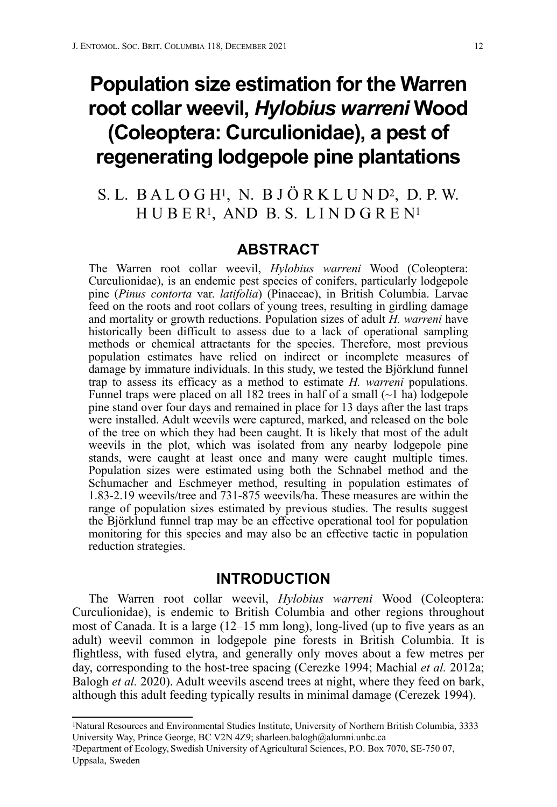# **Population size estimation for the Warren root collar weevil,** *Hylobius warreni* **Wood (Coleoptera: Curculionidae), a pest of regenerating lodgepole pine plantations**

## S. L. B A L O G H1, N. B J Ö R K L U N D2, D. P. W. H U B E R1, AND B. S. L I N D G R E N1

### **ABSTRACT**

The Warren root collar weevil, *Hylobius warreni* Wood (Coleoptera: Curculionidae), is an endemic pest species of conifers, particularly lodgepole pine (*Pinus contorta* var. *latifolia*) (Pinaceae), in British Columbia. Larvae feed on the roots and root collars of young trees, resulting in girdling damage and mortality or growth reductions. Population sizes of adult *H. warreni* have historically been difficult to assess due to a lack of operational sampling methods or chemical attractants for the species. Therefore, most previous population estimates have relied on indirect or incomplete measures of damage by immature individuals. In this study, we tested the Björklund funnel trap to assess its efficacy as a method to estimate *H. warreni* populations. Funnel traps were placed on all 182 trees in half of a small  $(\sim 1$  ha) lodgepole pine stand over four days and remained in place for 13 days after the last traps were installed. Adult weevils were captured, marked, and released on the bole of the tree on which they had been caught. It is likely that most of the adult weevils in the plot, which was isolated from any nearby lodgepole pine stands, were caught at least once and many were caught multiple times. Population sizes were estimated using both the Schnabel method and the Schumacher and Eschmeyer method, resulting in population estimates of 1.83-2.19 weevils/tree and 731-875 weevils/ha. These measures are within the range of population sizes estimated by previous studies. The results suggest the Björklund funnel trap may be an effective operational tool for population monitoring for this species and may also be an effective tactic in population reduction strategies.

## **INTRODUCTION**

The Warren root collar weevil, *Hylobius warreni* Wood (Coleoptera: Curculionidae), is endemic to British Columbia and other regions throughout most of Canada. It is a large (12–15 mm long), long-lived (up to five years as an adult) weevil common in lodgepole pine forests in British Columbia. It is flightless, with fused elytra, and generally only moves about a few metres per day, corresponding to the host-tree spacing (Cerezke 1994; Machial *et al.* 2012a; Balogh *et al.* 2020). Adult weevils ascend trees at night, where they feed on bark, although this adult feeding typically results in minimal damage (Cerezek 1994).

<sup>1</sup>Natural Resources and Environmental Studies Institute, University of Northern British Columbia, 3333 University Way, Prince George, BC V2N 4Z9; sharleen.balogh@alumni.unbc.ca

<sup>2</sup>Department of Ecology, Swedish University of Agricultural Sciences, P.O. Box 7070, SE-750 07, Uppsala, Sweden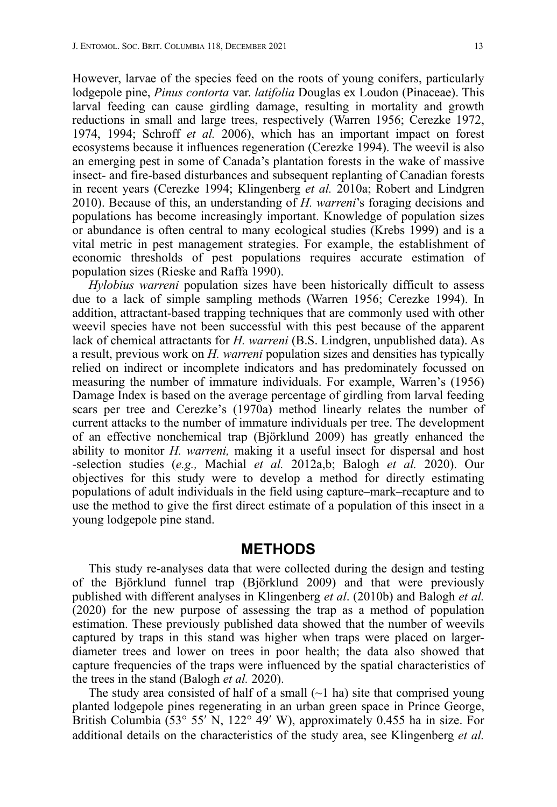However, larvae of the species feed on the roots of young conifers, particularly lodgepole pine, *Pinus contorta* var. *latifolia* Douglas ex Loudon (Pinaceae). This larval feeding can cause girdling damage, resulting in mortality and growth reductions in small and large trees, respectively (Warren 1956; Cerezke 1972, 1974, 1994; Schroff *et al.* 2006), which has an important impact on forest ecosystems because it influences regeneration (Cerezke 1994). The weevil is also an emerging pest in some of Canada's plantation forests in the wake of massive insect- and fire-based disturbances and subsequent replanting of Canadian forests in recent years (Cerezke 1994; Klingenberg *et al.* 2010a; Robert and Lindgren 2010). Because of this, an understanding of *H. warreni*'s foraging decisions and populations has become increasingly important. Knowledge of population sizes or abundance is often central to many ecological studies (Krebs 1999) and is a vital metric in pest management strategies. For example, the establishment of economic thresholds of pest populations requires accurate estimation of population sizes (Rieske and Raffa 1990).

*Hylobius warreni* population sizes have been historically difficult to assess due to a lack of simple sampling methods (Warren 1956; Cerezke 1994). In addition, attractant-based trapping techniques that are commonly used with other weevil species have not been successful with this pest because of the apparent lack of chemical attractants for *H. warreni* (B.S. Lindgren, unpublished data). As a result, previous work on *H. warreni* population sizes and densities has typically relied on indirect or incomplete indicators and has predominately focussed on measuring the number of immature individuals. For example, Warren's (1956) Damage Index is based on the average percentage of girdling from larval feeding scars per tree and Cerezke's (1970a) method linearly relates the number of current attacks to the number of immature individuals per tree. The development of an effective nonchemical trap (Björklund 2009) has greatly enhanced the ability to monitor *H. warreni,* making it a useful insect for dispersal and host -selection studies (*e.g.,* Machial *et al.* 2012a,b; Balogh *et al.* 2020). Our objectives for this study were to develop a method for directly estimating populations of adult individuals in the field using capture–mark–recapture and to use the method to give the first direct estimate of a population of this insect in a young lodgepole pine stand.

#### **METHODS**

This study re-analyses data that were collected during the design and testing of the Björklund funnel trap (Björklund 2009) and that were previously published with different analyses in Klingenberg *et al*. (2010b) and Balogh *et al.* (2020) for the new purpose of assessing the trap as a method of population estimation. These previously published data showed that the number of weevils captured by traps in this stand was higher when traps were placed on largerdiameter trees and lower on trees in poor health; the data also showed that capture frequencies of the traps were influenced by the spatial characteristics of the trees in the stand (Balogh *et al.* 2020).

The study area consisted of half of a small  $(-1)$  ha) site that comprised young planted lodgepole pines regenerating in an urban green space in Prince George, British Columbia (53° 55′ N, 122° 49′ W), approximately 0.455 ha in size. For additional details on the characteristics of the study area, see Klingenberg *et al.*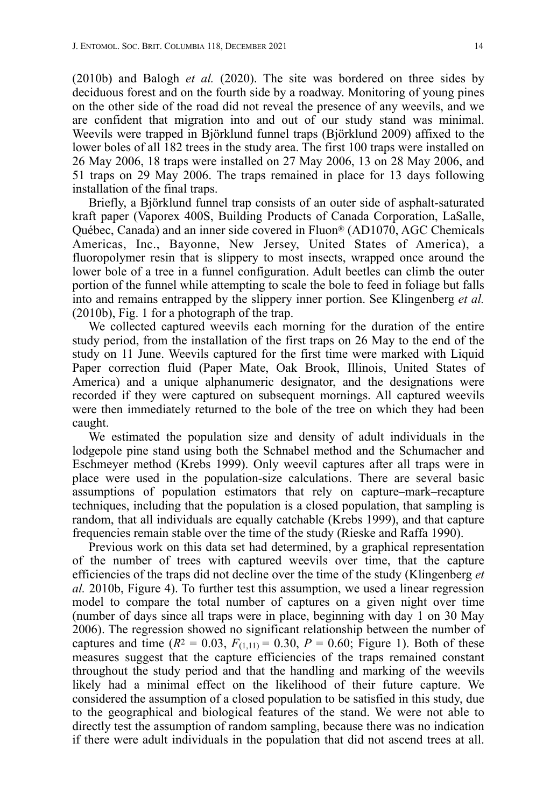(2010b) and Balogh *et al.* (2020). The site was bordered on three sides by deciduous forest and on the fourth side by a roadway. Monitoring of young pines on the other side of the road did not reveal the presence of any weevils, and we are confident that migration into and out of our study stand was minimal. Weevils were trapped in Björklund funnel traps (Björklund 2009) affixed to the lower boles of all 182 trees in the study area. The first 100 traps were installed on 26 May 2006, 18 traps were installed on 27 May 2006, 13 on 28 May 2006, and 51 traps on 29 May 2006. The traps remained in place for 13 days following installation of the final traps.

Briefly, a Björklund funnel trap consists of an outer side of asphalt-saturated kraft paper (Vaporex 400S, Building Products of Canada Corporation, LaSalle, Québec, Canada) and an inner side covered in Fluon® (AD1070, AGC Chemicals Americas, Inc., Bayonne, New Jersey, United States of America), a fluoropolymer resin that is slippery to most insects, wrapped once around the lower bole of a tree in a funnel configuration. Adult beetles can climb the outer portion of the funnel while attempting to scale the bole to feed in foliage but falls into and remains entrapped by the slippery inner portion. See Klingenberg *et al.*  (2010b), Fig. 1 for a photograph of the trap.

We collected captured weevils each morning for the duration of the entire study period, from the installation of the first traps on 26 May to the end of the study on 11 June. Weevils captured for the first time were marked with Liquid Paper correction fluid (Paper Mate, Oak Brook, Illinois, United States of America) and a unique alphanumeric designator, and the designations were recorded if they were captured on subsequent mornings. All captured weevils were then immediately returned to the bole of the tree on which they had been caught.

We estimated the population size and density of adult individuals in the lodgepole pine stand using both the Schnabel method and the Schumacher and Eschmeyer method (Krebs 1999). Only weevil captures after all traps were in place were used in the population-size calculations. There are several basic assumptions of population estimators that rely on capture–mark–recapture techniques, including that the population is a closed population, that sampling is random, that all individuals are equally catchable (Krebs 1999), and that capture frequencies remain stable over the time of the study (Rieske and Raffa 1990).

Previous work on this data set had determined, by a graphical representation of the number of trees with captured weevils over time, that the capture efficiencies of the traps did not decline over the time of the study (Klingenberg *et al.* 2010b, Figure 4). To further test this assumption, we used a linear regression model to compare the total number of captures on a given night over time (number of days since all traps were in place, beginning with day 1 on 30 May 2006). The regression showed no significant relationship between the number of captures and time  $(R^2 = 0.03, F_{(1,11)} = 0.30, P = 0.60;$  Figure 1). Both of these measures suggest that the capture efficiencies of the traps remained constant throughout the study period and that the handling and marking of the weevils likely had a minimal effect on the likelihood of their future capture. We considered the assumption of a closed population to be satisfied in this study, due to the geographical and biological features of the stand. We were not able to directly test the assumption of random sampling, because there was no indication if there were adult individuals in the population that did not ascend trees at all.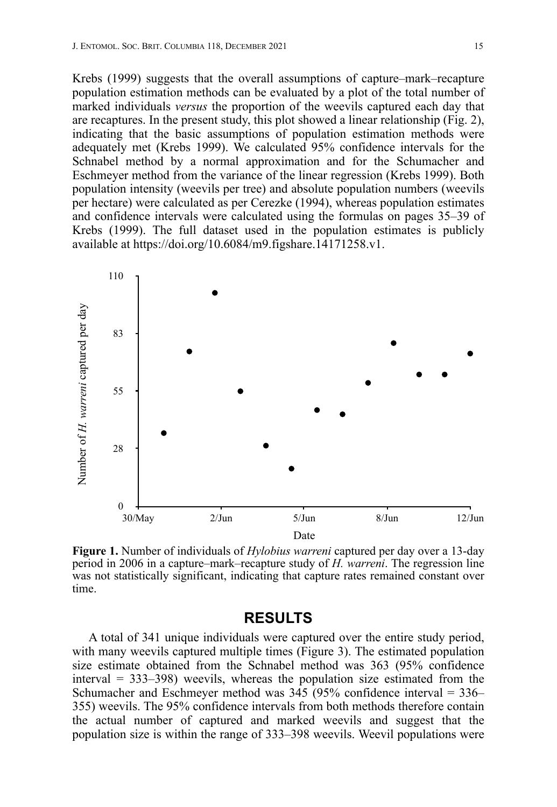Krebs (1999) suggests that the overall assumptions of capture–mark–recapture population estimation methods can be evaluated by a plot of the total number of marked individuals *versus* the proportion of the weevils captured each day that are recaptures. In the present study, this plot showed a linear relationship (Fig. 2), indicating that the basic assumptions of population estimation methods were adequately met (Krebs 1999). We calculated 95% confidence intervals for the Schnabel method by a normal approximation and for the Schumacher and Eschmeyer method from the variance of the linear regression (Krebs 1999). Both population intensity (weevils per tree) and absolute population numbers (weevils per hectare) were calculated as per Cerezke (1994), whereas population estimates and confidence intervals were calculated using the formulas on pages 35–39 of Krebs (1999). The full dataset used in the population estimates is publicly available at https://doi.org/10.6084/m9.figshare.14171258.v1.



**Figure 1.** Number of individuals of *Hylobius warreni* captured per day over a 13-day period in 2006 in a capture–mark–recapture study of *H. warreni*. The regression line was not statistically significant, indicating that capture rates remained constant over time.

## **RESULTS**

A total of 341 unique individuals were captured over the entire study period, with many weevils captured multiple times (Figure 3). The estimated population size estimate obtained from the Schnabel method was 363 (95% confidence interval = 333–398) weevils, whereas the population size estimated from the Schumacher and Eschmeyer method was  $345$  (95% confidence interval = 336– 355) weevils. The 95% confidence intervals from both methods therefore contain the actual number of captured and marked weevils and suggest that the population size is within the range of 333–398 weevils. Weevil populations were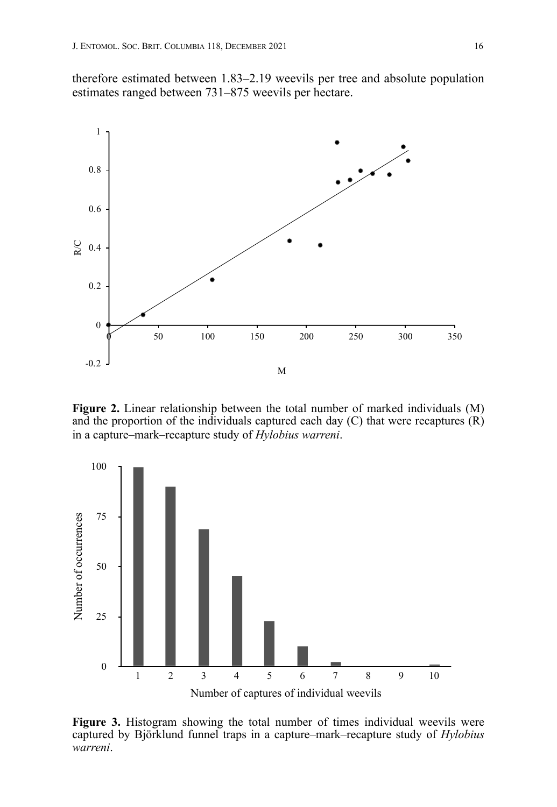therefore estimated between 1.83–2.19 weevils per tree and absolute population estimates ranged between 731–875 weevils per hectare.



**Figure 2.** Linear relationship between the total number of marked individuals (M) and the proportion of the individuals captured each day  $(C)$  that were recaptures  $(R)$ in a capture–mark–recapture study of *Hylobius warreni*.



**Figure 3.** Histogram showing the total number of times individual weevils were captured by Björklund funnel traps in a capture–mark–recapture study of *Hylobius*  warreni.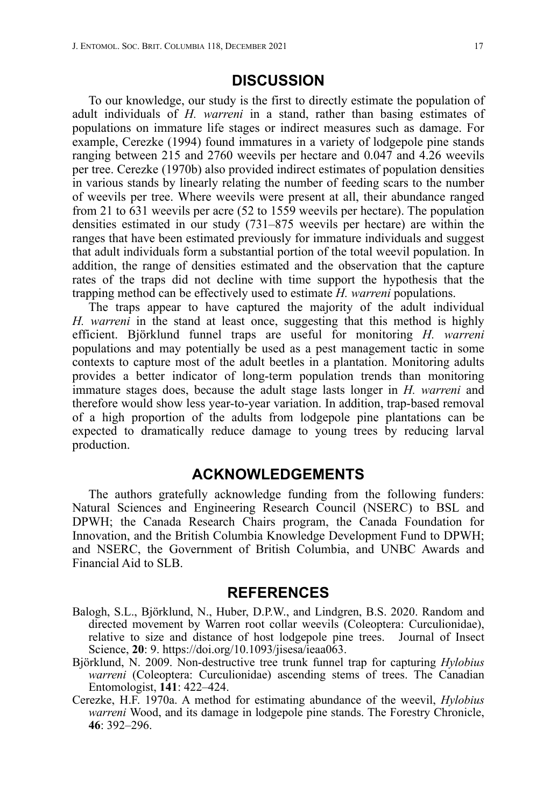## **DISCUSSION**

To our knowledge, our study is the first to directly estimate the population of adult individuals of *H. warreni* in a stand, rather than basing estimates of populations on immature life stages or indirect measures such as damage. For example, Cerezke (1994) found immatures in a variety of lodgepole pine stands ranging between 215 and 2760 weevils per hectare and 0.047 and 4.26 weevils per tree. Cerezke (1970b) also provided indirect estimates of population densities in various stands by linearly relating the number of feeding scars to the number of weevils per tree. Where weevils were present at all, their abundance ranged from 21 to 631 weevils per acre (52 to 1559 weevils per hectare). The population densities estimated in our study (731–875 weevils per hectare) are within the ranges that have been estimated previously for immature individuals and suggest that adult individuals form a substantial portion of the total weevil population. In addition, the range of densities estimated and the observation that the capture rates of the traps did not decline with time support the hypothesis that the trapping method can be effectively used to estimate *H. warreni* populations.

The traps appear to have captured the majority of the adult individual *H. warreni* in the stand at least once, suggesting that this method is highly efficient. Björklund funnel traps are useful for monitoring *H. warreni* populations and may potentially be used as a pest management tactic in some contexts to capture most of the adult beetles in a plantation. Monitoring adults provides a better indicator of long-term population trends than monitoring immature stages does, because the adult stage lasts longer in *H. warreni* and therefore would show less year-to-year variation. In addition, trap-based removal of a high proportion of the adults from lodgepole pine plantations can be expected to dramatically reduce damage to young trees by reducing larval production.

## **ACKNOWLEDGEMENTS**

The authors gratefully acknowledge funding from the following funders: Natural Sciences and Engineering Research Council (NSERC) to BSL and DPWH; the Canada Research Chairs program, the Canada Foundation for Innovation, and the British Columbia Knowledge Development Fund to DPWH; and NSERC, the Government of British Columbia, and UNBC Awards and Financial Aid to SLB.

#### **REFERENCES**

- Balogh, S.L., Björklund, N., Huber, D.P.W., and Lindgren, B.S. 2020. Random and directed movement by Warren root collar weevils (Coleoptera: Curculionidae), relative to size and distance of host lodgepole pine trees. Journal of Insect Science, **20**: 9. https://doi.org/10.1093/jisesa/ieaa063.
- Björklund, N. 2009. Non-destructive tree trunk funnel trap for capturing *Hylobius warreni* (Coleoptera: Curculionidae) ascending stems of trees. The Canadian Entomologist, **141**: 422–424.
- Cerezke, H.F. 1970a. A method for estimating abundance of the weevil, *Hylobius warreni* Wood, and its damage in lodgepole pine stands. The Forestry Chronicle, **46**: 392–296.